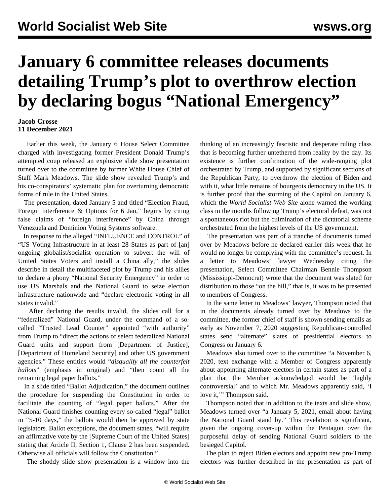## **January 6 committee releases documents detailing Trump's plot to overthrow election by declaring bogus "National Emergency"**

## **Jacob Crosse 11 December 2021**

 Earlier this week, the January 6 House Select Committee charged with investigating former President Donald Trump's attempted coup released an explosive slide show presentation turned over to the committee by former White House Chief of Staff Mark Meadows. The slide show revealed Trump's and his co-conspirators' systematic plan for overturning democratic forms of rule in the United States.

 The [presentation,](https://www.scribd.com/document/545804373/Mark-Meadow-s-PointPoint-presentation#fullscreen&from_embed) dated January 5 and titled "Election Fraud, Foreign Interference & Options for 6 Jan," begins by citing false claims of "foreign interference" by China through Venezuela and Dominion Voting Systems software.

 In response to the alleged "INFLUENCE and CONTROL" of "US Voting Infrastructure in at least 28 States as part of [an] ongoing globalist/socialist operation to subvert the will of United States Voters and install a China ally," the slides describe in detail the multifaceted plot by Trump and his allies to declare a phony "National Security Emergency" in order to use US Marshals and the National Guard to seize election infrastructure nationwide and "declare electronic voting in all states invalid."

 After declaring the results invalid, the slides call for a "federalized" National Guard, under the command of a socalled "Trusted Lead Counter" appointed "with authority" from Trump to "direct the actions of select federalized National Guard units and support from [Department of Justice], [Department of Homeland Security] and other US government agencies." These entities would "*disqualify all the counterfeit ballots*" (emphasis in original) and "then count all the remaining legal paper ballots."

 In a slide titled "Ballot Adjudication," the document outlines the procedure for suspending the Constitution in order to facilitate the counting of "legal paper ballots." After the National Guard finishes counting every so-called "legal" ballot in "5-10 days," the ballots would then be approved by state legislators. Ballot exceptions, the document states, "will require an affirmative vote by the [Supreme Court of the United States] stating that Article II, Section 1, Clause 2 has been suspended. Otherwise all officials will follow the Constitution."

The shoddy slide show presentation is a window into the

thinking of an increasingly fascistic and desperate ruling class that is becoming further untethered from reality by the day. Its existence is further confirmation of the wide-ranging plot orchestrated by Trump, and supported by significant sections of the Republican Party, to overthrow the election of Biden and with it, what little remains of bourgeois democracy in the US. It is further proof that the storming of the Capitol on January 6, which the *World Socialist Web Site* alone warned the working class in the months following Trump's electoral defeat, was not a spontaneous riot but the culmination of the dictatorial scheme orchestrated from the highest levels of the US government.

 The presentation was part of a tranche of documents turned over by Meadows before he declared earlier this week that he would no longer be complying with the committee's request. In a letter to Meadows' lawyer Wednesday citing the presentation, Select Committee Chairman Bennie Thompson (Mississippi-Democrat) wrote that the document was slated for distribution to those "on the hill," that is, it was to be presented to members of Congress.

 In the same letter to Meadows' lawyer, Thompson noted that in the documents already turned over by Meadows to the committee, the former chief of staff is shown sending emails as early as November 7, 2020 suggesting Republican-controlled states send "alternate" slates of presidential electors to Congress on January 6.

 Meadows also turned over to the committee "a November 6, 2020, text exchange with a Member of Congress apparently about appointing alternate electors in certain states as part of a plan that the Member acknowledged would be 'highly controversial' and to which Mr. Meadows apparently said, 'I love it," Thompson said.

 Thompson noted that in addition to the texts and slide show, Meadows turned over "a January 5, 2021, email about having the National Guard stand by." This revelation is significant, given the ongoing cover-up within the Pentagon over the purposeful delay of sending National Guard soldiers to the besieged Capitol.

 The plan to reject Biden electors and appoint new pro-Trump electors was further described in the presentation as part of